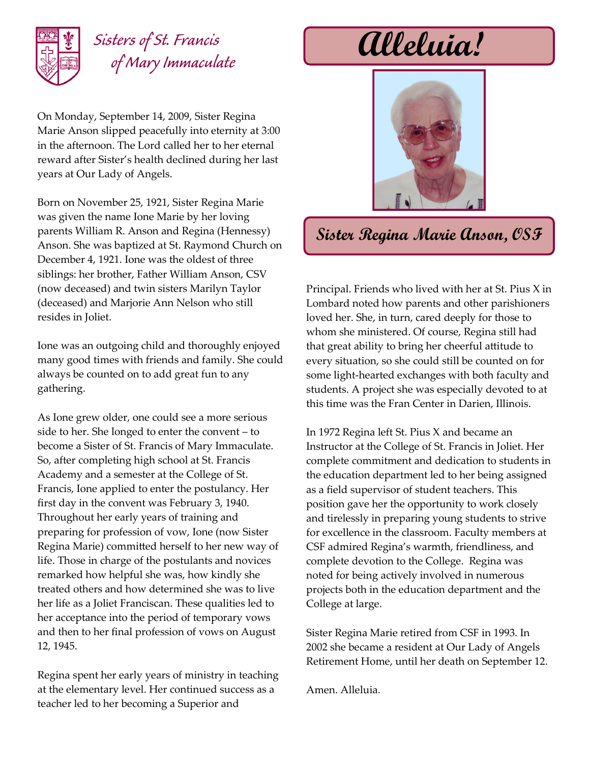

## *Sisters of St. Francis of Mary Immaculate*

On Monday, September 14, 2009, Sister Regina Marie Anson slipped peacefully into eternity at 3:00 in the afternoon. The Lord called her to her eternal reward after Sister's health declined during her last years at Our Lady of Angels.

Born on November 25, 1921, Sister Regina Marie was given the name Ione Marie by her loving parents William R. Anson and Regina (Hennessy) Anson. She was baptized at St. Raymond Church on December 4, 1921. Ione was the oldest of three siblings: her brother, Father William Anson, CSV (now deceased) and twin sisters Marilyn Taylor (deceased) and Marjorie Ann Nelson who still resides in Joliet.

Ione was an outgoing child and thoroughly enjoyed many good times with friends and family. She could always be counted on to add great fun to any gathering.

As Ione grew older, one could see a more serious side to her. She longed to enter the convent – to become a Sister of St. Francis of Mary Immaculate. So, after completing high school at St. Francis Academy and a semester at the College of St. Francis, Ione applied to enter the postulancy. Her first day in the convent was February 3, 1940. Throughout her early years of training and preparing for profession of vow, Ione (now Sister Regina Marie) committed herself to her new way of life. Those in charge of the postulants and novices remarked how helpful she was, how kindly she treated others and how determined she was to live her life as a Joliet Franciscan. These qualities led to her acceptance into the period of temporary vows and then to her final profession of vows on August 12, 1945.

Regina spent her early years of ministry in teaching at the elementary level. Her continued success as a teacher led to her becoming a Superior and

**Alleluia!**



## **Sister Regina Marie Anson, OSF**

Principal. Friends who lived with her at St. Pius X in Lombard noted how parents and other parishioners loved her. She, in turn, cared deeply for those to whom she ministered. Of course, Regina still had that great ability to bring her cheerful attitude to every situation, so she could still be counted on for some light-hearted exchanges with both faculty and students. A project she was especially devoted to at this time was the Fran Center in Darien, Illinois.

In 1972 Regina left St. Pius X and became an Instructor at the College of St. Francis in Joliet. Her complete commitment and dedication to students in the education department led to her being assigned as a field supervisor of student teachers. This position gave her the opportunity to work closely and tirelessly in preparing young students to strive for excellence in the classroom. Faculty members at CSF admired Regina's warmth, friendliness, and complete devotion to the College. Regina was noted for being actively involved in numerous projects both in the education department and the College at large.

Sister Regina Marie retired from CSF in 1993. In 2002 she became a resident at Our Lady of Angels Retirement Home, until her death on September 12.

Amen. Alleluia.